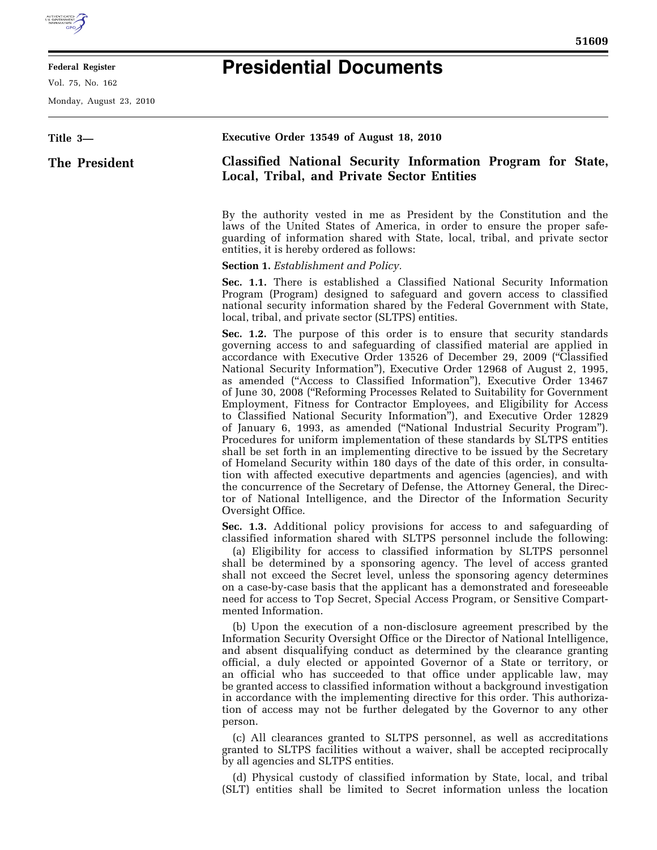

E

## **Federal Register**

Vol. 75, No. 162

Monday, August 23, 2010

## **Presidential Documents**

| Title 3-      | Executive Order 13549 of August 18, 2010                                                                                                                                                                                                                                                                                                                                                                                                                                                                                                                                                                                                                                                                                                                                                                                                                                                                                                                                                                                                                                                                                                                                                                                             |
|---------------|--------------------------------------------------------------------------------------------------------------------------------------------------------------------------------------------------------------------------------------------------------------------------------------------------------------------------------------------------------------------------------------------------------------------------------------------------------------------------------------------------------------------------------------------------------------------------------------------------------------------------------------------------------------------------------------------------------------------------------------------------------------------------------------------------------------------------------------------------------------------------------------------------------------------------------------------------------------------------------------------------------------------------------------------------------------------------------------------------------------------------------------------------------------------------------------------------------------------------------------|
| The President | Classified National Security Information Program for State,<br>Local, Tribal, and Private Sector Entities                                                                                                                                                                                                                                                                                                                                                                                                                                                                                                                                                                                                                                                                                                                                                                                                                                                                                                                                                                                                                                                                                                                            |
|               | By the authority vested in me as President by the Constitution and the<br>laws of the United States of America, in order to ensure the proper safe-<br>guarding of information shared with State, local, tribal, and private sector<br>entities, it is hereby ordered as follows:                                                                                                                                                                                                                                                                                                                                                                                                                                                                                                                                                                                                                                                                                                                                                                                                                                                                                                                                                    |
|               | <b>Section 1.</b> Establishment and Policy.                                                                                                                                                                                                                                                                                                                                                                                                                                                                                                                                                                                                                                                                                                                                                                                                                                                                                                                                                                                                                                                                                                                                                                                          |
|               | Sec. 1.1. There is established a Classified National Security Information<br>Program (Program) designed to safeguard and govern access to classified<br>national security information shared by the Federal Government with State,<br>local, tribal, and private sector (SLTPS) entities.                                                                                                                                                                                                                                                                                                                                                                                                                                                                                                                                                                                                                                                                                                                                                                                                                                                                                                                                            |
|               | <b>Sec. 1.2.</b> The purpose of this order is to ensure that security standards<br>governing access to and safeguarding of classified material are applied in<br>accordance with Executive Order 13526 of December 29, 2009 ("Classified<br>National Security Information"), Executive Order 12968 of August 2, 1995,<br>as amended ("Access to Classified Information"), Executive Order 13467<br>of June 30, 2008 ("Reforming Processes Related to Suitability for Government<br>Employment, Fitness for Contractor Employees, and Eligibility for Access<br>to Classified National Security Information"), and Executive Order 12829<br>of January 6, 1993, as amended ("National Industrial Security Program").<br>Procedures for uniform implementation of these standards by SLTPS entities<br>shall be set forth in an implementing directive to be issued by the Secretary<br>of Homeland Security within 180 days of the date of this order, in consulta-<br>tion with affected executive departments and agencies (agencies), and with<br>the concurrence of the Secretary of Defense, the Attorney General, the Direc-<br>tor of National Intelligence, and the Director of the Information Security<br>Oversight Office. |
|               | Sec. 1.3. Additional policy provisions for access to and safeguarding of<br>classified information shared with SLTPS personnel include the following:<br>(a) Eligibility for access to classified information by SLTPS personnel<br>shall be determined by a sponsoring agency. The level of access granted<br>shall not exceed the Secret level, unless the sponsoring agency determines<br>on a case-by-case basis that the applicant has a demonstrated and foreseeable<br>need for access to Top Secret, Special Access Program, or Sensitive Compart-<br>mented Information.                                                                                                                                                                                                                                                                                                                                                                                                                                                                                                                                                                                                                                                    |
|               | (b) Upon the execution of a non-disclosure agreement prescribed by the<br>Information Security Oversight Office or the Director of National Intelligence,<br>and absent disqualifying conduct as determined by the clearance granting<br>official, a duly elected or appointed Governor of a State or territory, or<br>an official who has succeeded to that office under applicable law, may<br>be granted access to classified information without a background investigation<br>in accordance with the implementing directive for this order. This authoriza-<br>tion of access may not be further delegated by the Governor to any other<br>person.                                                                                                                                                                                                                                                                                                                                                                                                                                                                                                                                                                              |
|               | (c) All clearances granted to SLTPS personnel, as well as accreditations<br>granted to SLTPS facilities without a waiver, shall be accepted reciprocally<br>by all agencies and SLTPS entities.                                                                                                                                                                                                                                                                                                                                                                                                                                                                                                                                                                                                                                                                                                                                                                                                                                                                                                                                                                                                                                      |
|               | (d) Physical custody of classified information by State, local, and tribal<br>(SLT) entities shall be limited to Secret information unless the location                                                                                                                                                                                                                                                                                                                                                                                                                                                                                                                                                                                                                                                                                                                                                                                                                                                                                                                                                                                                                                                                              |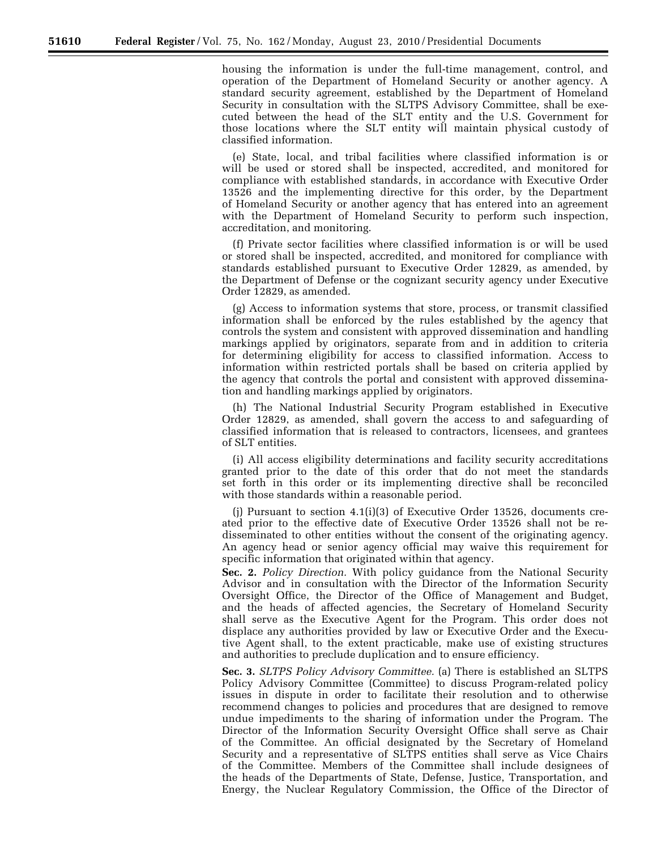housing the information is under the full-time management, control, and operation of the Department of Homeland Security or another agency. A standard security agreement, established by the Department of Homeland Security in consultation with the SLTPS Advisory Committee, shall be executed between the head of the SLT entity and the U.S. Government for those locations where the SLT entity will maintain physical custody of classified information.

(e) State, local, and tribal facilities where classified information is or will be used or stored shall be inspected, accredited, and monitored for compliance with established standards, in accordance with Executive Order 13526 and the implementing directive for this order, by the Department of Homeland Security or another agency that has entered into an agreement with the Department of Homeland Security to perform such inspection, accreditation, and monitoring.

(f) Private sector facilities where classified information is or will be used or stored shall be inspected, accredited, and monitored for compliance with standards established pursuant to Executive Order 12829, as amended, by the Department of Defense or the cognizant security agency under Executive Order 12829, as amended.

(g) Access to information systems that store, process, or transmit classified information shall be enforced by the rules established by the agency that controls the system and consistent with approved dissemination and handling markings applied by originators, separate from and in addition to criteria for determining eligibility for access to classified information. Access to information within restricted portals shall be based on criteria applied by the agency that controls the portal and consistent with approved dissemination and handling markings applied by originators.

(h) The National Industrial Security Program established in Executive Order 12829, as amended, shall govern the access to and safeguarding of classified information that is released to contractors, licensees, and grantees of SLT entities.

(i) All access eligibility determinations and facility security accreditations granted prior to the date of this order that do not meet the standards set forth in this order or its implementing directive shall be reconciled with those standards within a reasonable period.

(j) Pursuant to section  $4.1(i)(3)$  of Executive Order 13526, documents created prior to the effective date of Executive Order 13526 shall not be redisseminated to other entities without the consent of the originating agency. An agency head or senior agency official may waive this requirement for specific information that originated within that agency.

**Sec. 2.** *Policy Direction.* With policy guidance from the National Security Advisor and in consultation with the Director of the Information Security Oversight Office, the Director of the Office of Management and Budget, and the heads of affected agencies, the Secretary of Homeland Security shall serve as the Executive Agent for the Program. This order does not displace any authorities provided by law or Executive Order and the Executive Agent shall, to the extent practicable, make use of existing structures and authorities to preclude duplication and to ensure efficiency.

**Sec. 3.** *SLTPS Policy Advisory Committee.* (a) There is established an SLTPS Policy Advisory Committee (Committee) to discuss Program-related policy issues in dispute in order to facilitate their resolution and to otherwise recommend changes to policies and procedures that are designed to remove undue impediments to the sharing of information under the Program. The Director of the Information Security Oversight Office shall serve as Chair of the Committee. An official designated by the Secretary of Homeland Security and a representative of SLTPS entities shall serve as Vice Chairs of the Committee. Members of the Committee shall include designees of the heads of the Departments of State, Defense, Justice, Transportation, and Energy, the Nuclear Regulatory Commission, the Office of the Director of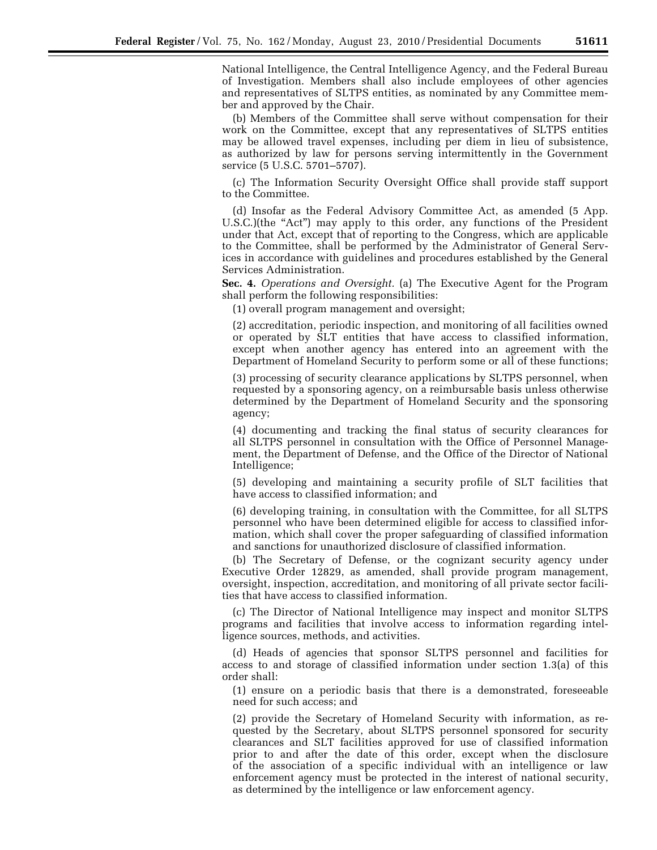National Intelligence, the Central Intelligence Agency, and the Federal Bureau of Investigation. Members shall also include employees of other agencies and representatives of SLTPS entities, as nominated by any Committee member and approved by the Chair.

(b) Members of the Committee shall serve without compensation for their work on the Committee, except that any representatives of SLTPS entities may be allowed travel expenses, including per diem in lieu of subsistence, as authorized by law for persons serving intermittently in the Government service (5 U.S.C. 5701–5707).

(c) The Information Security Oversight Office shall provide staff support to the Committee.

(d) Insofar as the Federal Advisory Committee Act, as amended (5 App. U.S.C.)(the "Act") may apply to this order, any functions of the President under that Act, except that of reporting to the Congress, which are applicable to the Committee, shall be performed by the Administrator of General Services in accordance with guidelines and procedures established by the General Services Administration.

**Sec. 4.** *Operations and Oversight.* (a) The Executive Agent for the Program shall perform the following responsibilities:

(1) overall program management and oversight;

(2) accreditation, periodic inspection, and monitoring of all facilities owned or operated by SLT entities that have access to classified information, except when another agency has entered into an agreement with the Department of Homeland Security to perform some or all of these functions;

(3) processing of security clearance applications by SLTPS personnel, when requested by a sponsoring agency, on a reimbursable basis unless otherwise determined by the Department of Homeland Security and the sponsoring agency;

(4) documenting and tracking the final status of security clearances for all SLTPS personnel in consultation with the Office of Personnel Management, the Department of Defense, and the Office of the Director of National Intelligence;

(5) developing and maintaining a security profile of SLT facilities that have access to classified information; and

(6) developing training, in consultation with the Committee, for all SLTPS personnel who have been determined eligible for access to classified information, which shall cover the proper safeguarding of classified information and sanctions for unauthorized disclosure of classified information.

(b) The Secretary of Defense, or the cognizant security agency under Executive Order 12829, as amended, shall provide program management, oversight, inspection, accreditation, and monitoring of all private sector facilities that have access to classified information.

(c) The Director of National Intelligence may inspect and monitor SLTPS programs and facilities that involve access to information regarding intelligence sources, methods, and activities.

(d) Heads of agencies that sponsor SLTPS personnel and facilities for access to and storage of classified information under section 1.3(a) of this order shall:

(1) ensure on a periodic basis that there is a demonstrated, foreseeable need for such access; and

(2) provide the Secretary of Homeland Security with information, as requested by the Secretary, about SLTPS personnel sponsored for security clearances and SLT facilities approved for use of classified information prior to and after the date of this order, except when the disclosure of the association of a specific individual with an intelligence or law enforcement agency must be protected in the interest of national security, as determined by the intelligence or law enforcement agency.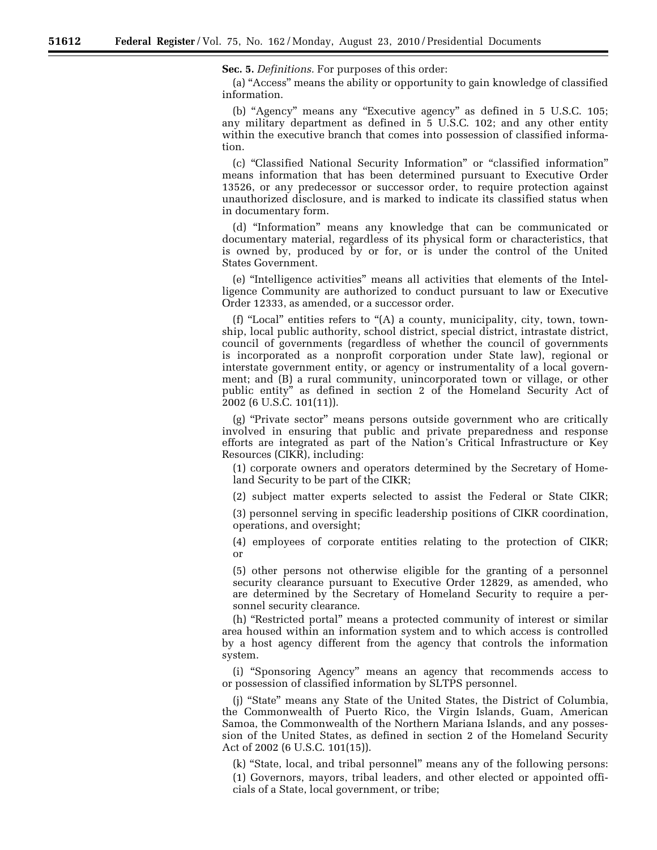**Sec. 5.** *Definitions.* For purposes of this order:

(a) ''Access'' means the ability or opportunity to gain knowledge of classified information.

(b) "Agency" means any "Executive agency" as defined in 5 U.S.C. 105; any military department as defined in 5 U.S.C. 102; and any other entity within the executive branch that comes into possession of classified information.

(c) ''Classified National Security Information'' or ''classified information'' means information that has been determined pursuant to Executive Order 13526, or any predecessor or successor order, to require protection against unauthorized disclosure, and is marked to indicate its classified status when in documentary form.

(d) ''Information'' means any knowledge that can be communicated or documentary material, regardless of its physical form or characteristics, that is owned by, produced by or for, or is under the control of the United States Government.

(e) ''Intelligence activities'' means all activities that elements of the Intelligence Community are authorized to conduct pursuant to law or Executive Order 12333, as amended, or a successor order.

(f) "Local" entities refers to " $(A)$  a county, municipality, city, town, township, local public authority, school district, special district, intrastate district, council of governments (regardless of whether the council of governments is incorporated as a nonprofit corporation under State law), regional or interstate government entity, or agency or instrumentality of a local government; and (B) a rural community, unincorporated town or village, or other public entity'' as defined in section 2 of the Homeland Security Act of 2002 (6 U.S.C. 101(11)).

(g) ''Private sector'' means persons outside government who are critically involved in ensuring that public and private preparedness and response efforts are integrated as part of the Nation's Critical Infrastructure or Key Resources (CIKR), including:

(1) corporate owners and operators determined by the Secretary of Homeland Security to be part of the CIKR;

(2) subject matter experts selected to assist the Federal or State CIKR;

(3) personnel serving in specific leadership positions of CIKR coordination, operations, and oversight;

(4) employees of corporate entities relating to the protection of CIKR; or

(5) other persons not otherwise eligible for the granting of a personnel security clearance pursuant to Executive Order 12829, as amended, who are determined by the Secretary of Homeland Security to require a personnel security clearance.

(h) ''Restricted portal'' means a protected community of interest or similar area housed within an information system and to which access is controlled by a host agency different from the agency that controls the information system.

(i) ''Sponsoring Agency'' means an agency that recommends access to or possession of classified information by SLTPS personnel.

(j) ''State'' means any State of the United States, the District of Columbia, the Commonwealth of Puerto Rico, the Virgin Islands, Guam, American Samoa, the Commonwealth of the Northern Mariana Islands, and any possession of the United States, as defined in section 2 of the Homeland Security Act of 2002 (6 U.S.C. 101(15)).

(k) ''State, local, and tribal personnel'' means any of the following persons: (1) Governors, mayors, tribal leaders, and other elected or appointed officials of a State, local government, or tribe;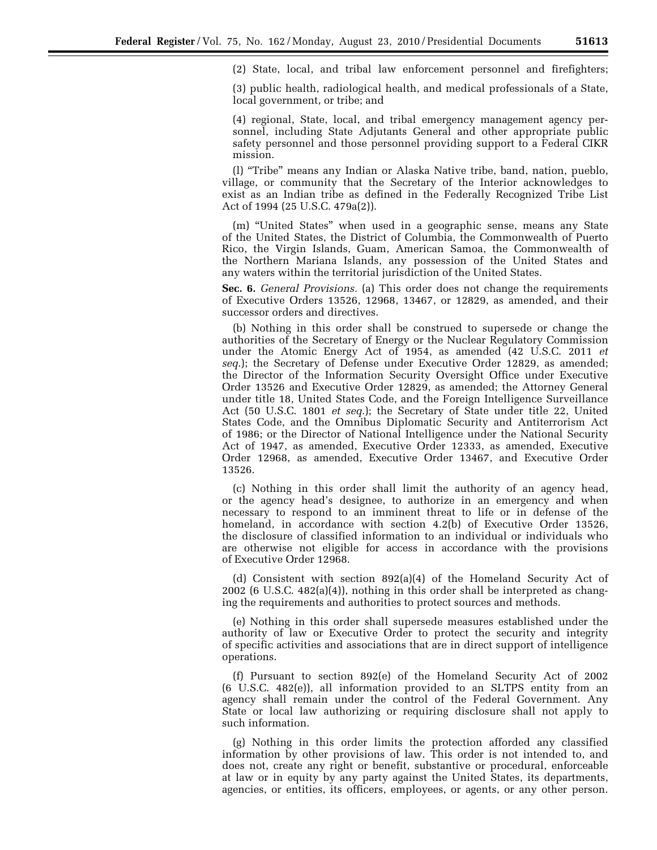(2) State, local, and tribal law enforcement personnel and firefighters;

(3) public health, radiological health, and medical professionals of a State, local government, or tribe; and

(4) regional, State, local, and tribal emergency management agency personnel, including State Adjutants General and other appropriate public safety personnel and those personnel providing support to a Federal CIKR mission.

(l) ''Tribe'' means any Indian or Alaska Native tribe, band, nation, pueblo, village, or community that the Secretary of the Interior acknowledges to exist as an Indian tribe as defined in the Federally Recognized Tribe List Act of 1994 (25 U.S.C. 479a(2)).

(m) ''United States'' when used in a geographic sense, means any State of the United States, the District of Columbia, the Commonwealth of Puerto Rico, the Virgin Islands, Guam, American Samoa, the Commonwealth of the Northern Mariana Islands, any possession of the United States and any waters within the territorial jurisdiction of the United States.

**Sec. 6.** *General Provisions.* (a) This order does not change the requirements of Executive Orders 13526, 12968, 13467, or 12829, as amended, and their successor orders and directives.

(b) Nothing in this order shall be construed to supersede or change the authorities of the Secretary of Energy or the Nuclear Regulatory Commission under the Atomic Energy Act of 1954, as amended (42 U.S.C. 2011 *et seq*.); the Secretary of Defense under Executive Order 12829, as amended; the Director of the Information Security Oversight Office under Executive Order 13526 and Executive Order 12829, as amended; the Attorney General under title 18, United States Code, and the Foreign Intelligence Surveillance Act (50 U.S.C. 1801 *et seq*.); the Secretary of State under title 22, United States Code, and the Omnibus Diplomatic Security and Antiterrorism Act of 1986; or the Director of National Intelligence under the National Security Act of 1947, as amended, Executive Order 12333, as amended, Executive Order 12968, as amended, Executive Order 13467, and Executive Order 13526.

(c) Nothing in this order shall limit the authority of an agency head, or the agency head's designee, to authorize in an emergency and when necessary to respond to an imminent threat to life or in defense of the homeland, in accordance with section 4.2(b) of Executive Order 13526, the disclosure of classified information to an individual or individuals who are otherwise not eligible for access in accordance with the provisions of Executive Order 12968.

(d) Consistent with section 892(a)(4) of the Homeland Security Act of 2002 (6 U.S.C. 482(a)(4)), nothing in this order shall be interpreted as changing the requirements and authorities to protect sources and methods.

(e) Nothing in this order shall supersede measures established under the authority of law or Executive Order to protect the security and integrity of specific activities and associations that are in direct support of intelligence operations.

(f) Pursuant to section 892(e) of the Homeland Security Act of 2002 (6 U.S.C. 482(e)), all information provided to an SLTPS entity from an agency shall remain under the control of the Federal Government. Any State or local law authorizing or requiring disclosure shall not apply to such information.

(g) Nothing in this order limits the protection afforded any classified information by other provisions of law. This order is not intended to, and does not, create any right or benefit, substantive or procedural, enforceable at law or in equity by any party against the United States, its departments, agencies, or entities, its officers, employees, or agents, or any other person.